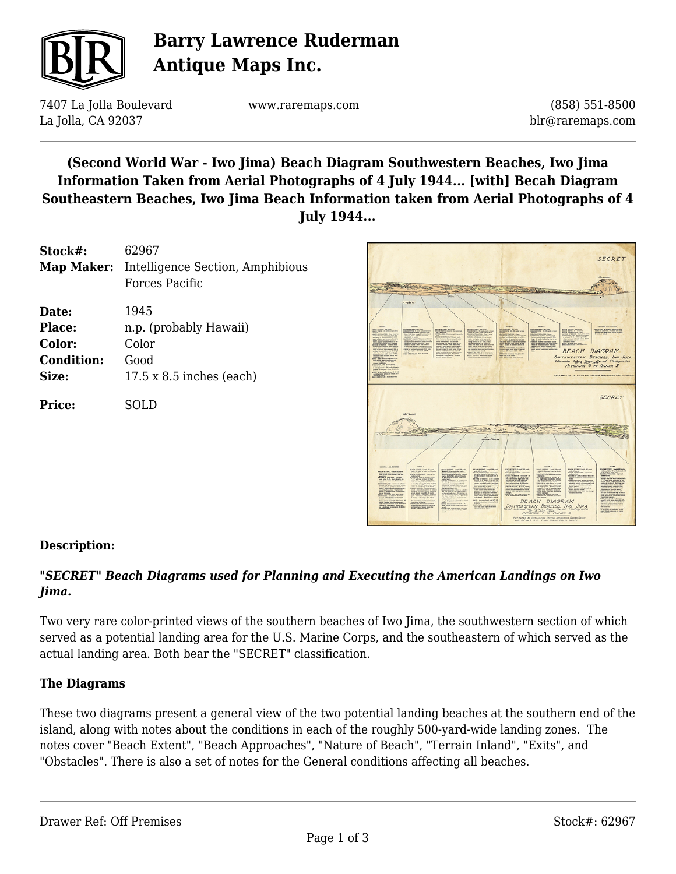

# **Barry Lawrence Ruderman Antique Maps Inc.**

7407 La Jolla Boulevard La Jolla, CA 92037

www.raremaps.com

(858) 551-8500 blr@raremaps.com

## **(Second World War - Iwo Jima) Beach Diagram Southwestern Beaches, Iwo Jima Information Taken from Aerial Photographs of 4 July 1944... [with] Becah Diagram Southeastern Beaches, Iwo Jima Beach Information taken from Aerial Photographs of 4 July 1944...**

| Stock#:           | 62967                                                                |
|-------------------|----------------------------------------------------------------------|
|                   | <b>Map Maker:</b> Intelligence Section, Amphibious<br>Forces Pacific |
| Date:             | 1945                                                                 |
| Place:            | n.p. (probably Hawaii)                                               |
| Color:            | Color                                                                |
| <b>Condition:</b> | Good                                                                 |
| Size:             | $17.5 \times 8.5$ inches (each)                                      |
| Price:            | SOLD                                                                 |



### **Description:**

### *"SECRET" Beach Diagrams used for Planning and Executing the American Landings on Iwo Jima.*

Two very rare color-printed views of the southern beaches of Iwo Jima, the southwestern section of which served as a potential landing area for the U.S. Marine Corps, and the southeastern of which served as the actual landing area. Both bear the "SECRET" classification.

### **The Diagrams**

These two diagrams present a general view of the two potential landing beaches at the southern end of the island, along with notes about the conditions in each of the roughly 500-yard-wide landing zones. The notes cover "Beach Extent", "Beach Approaches", "Nature of Beach", "Terrain Inland", "Exits", and "Obstacles". There is also a set of notes for the General conditions affecting all beaches.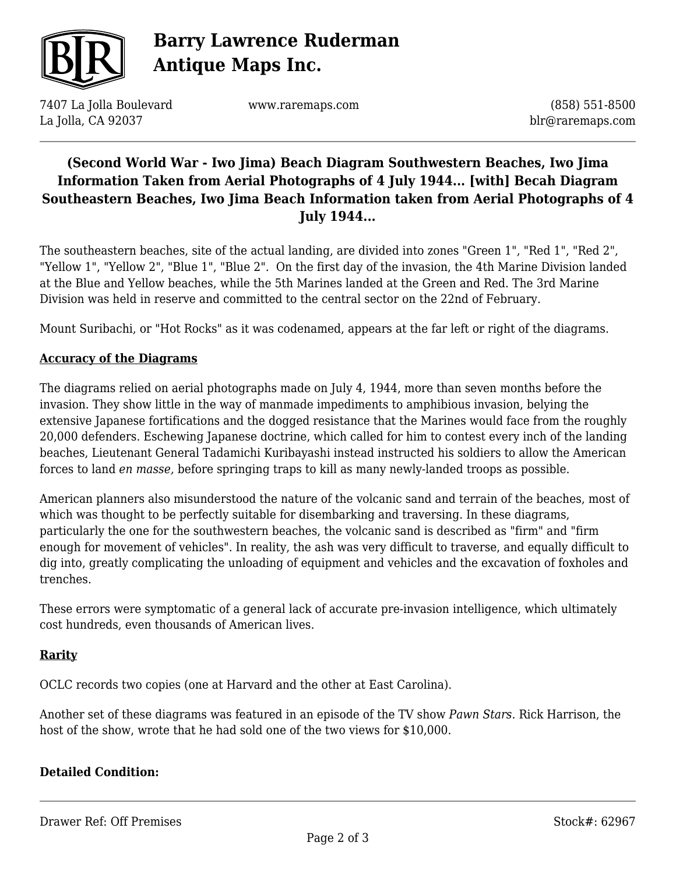

# **Barry Lawrence Ruderman Antique Maps Inc.**

7407 La Jolla Boulevard La Jolla, CA 92037

www.raremaps.com

(858) 551-8500 blr@raremaps.com

## **(Second World War - Iwo Jima) Beach Diagram Southwestern Beaches, Iwo Jima Information Taken from Aerial Photographs of 4 July 1944... [with] Becah Diagram Southeastern Beaches, Iwo Jima Beach Information taken from Aerial Photographs of 4 July 1944...**

The southeastern beaches, site of the actual landing, are divided into zones "Green 1", "Red 1", "Red 2", "Yellow 1", "Yellow 2", "Blue 1", "Blue 2". On the first day of the invasion, the 4th Marine Division landed at the Blue and Yellow beaches, while the 5th Marines landed at the Green and Red. The 3rd Marine Division was held in reserve and committed to the central sector on the 22nd of February.

Mount Suribachi, or "Hot Rocks" as it was codenamed, appears at the far left or right of the diagrams.

### **Accuracy of the Diagrams**

The diagrams relied on aerial photographs made on July 4, 1944, more than seven months before the invasion. They show little in the way of manmade impediments to amphibious invasion, belying the extensive Japanese fortifications and the dogged resistance that the Marines would face from the roughly 20,000 defenders. Eschewing Japanese doctrine, which called for him to contest every inch of the landing beaches, Lieutenant General Tadamichi Kuribayashi instead instructed his soldiers to allow the American forces to land *en masse,* before springing traps to kill as many newly-landed troops as possible.

American planners also misunderstood the nature of the volcanic sand and terrain of the beaches, most of which was thought to be perfectly suitable for disembarking and traversing. In these diagrams, particularly the one for the southwestern beaches, the volcanic sand is described as "firm" and "firm enough for movement of vehicles". In reality, the ash was very difficult to traverse, and equally difficult to dig into, greatly complicating the unloading of equipment and vehicles and the excavation of foxholes and trenches.

These errors were symptomatic of a general lack of accurate pre-invasion intelligence, which ultimately cost hundreds, even thousands of American lives.

### **Rarity**

OCLC records two copies (one at Harvard and the other at East Carolina).

Another set of these diagrams was featured in an episode of the TV show *Pawn Stars.* Rick Harrison, the host of the show, wrote that he had sold one of the two views for \$10,000.

### **Detailed Condition:**